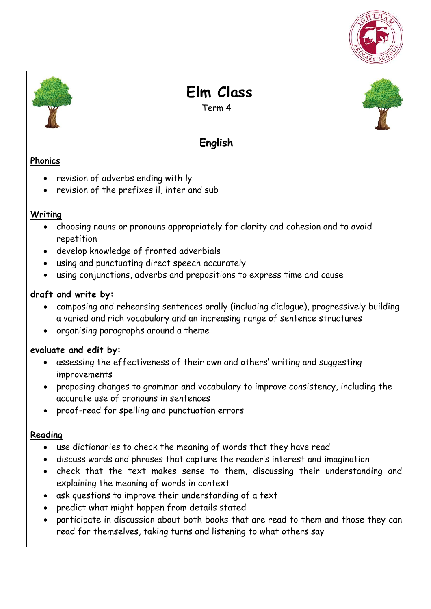



 **Elm Class** 

Term 4

# **English**

### **Phonics**

- revision of adverbs ending with ly
- revision of the prefixes il, inter and sub

### **Writing**

- choosing nouns or pronouns appropriately for clarity and cohesion and to avoid repetition
- develop knowledge of fronted adverbials
- using and punctuating direct speech accurately
- using conjunctions, adverbs and prepositions to express time and cause

### **draft and write by:**

- composing and rehearsing sentences orally (including dialogue), progressively building a varied and rich vocabulary and an increasing range of sentence structures
- organising paragraphs around a theme

### **evaluate and edit by:**

- assessing the effectiveness of their own and others' writing and suggesting improvements
- proposing changes to grammar and vocabulary to improve consistency, including the accurate use of pronouns in sentences
- proof-read for spelling and punctuation errors

### **Reading**

- use dictionaries to check the meaning of words that they have read
- discuss words and phrases that capture the reader's interest and imagination
- check that the text makes sense to them, discussing their understanding and explaining the meaning of words in context
- ask questions to improve their understanding of a text
- predict what might happen from details stated
- participate in discussion about both books that are read to them and those they can read for themselves, taking turns and listening to what others say

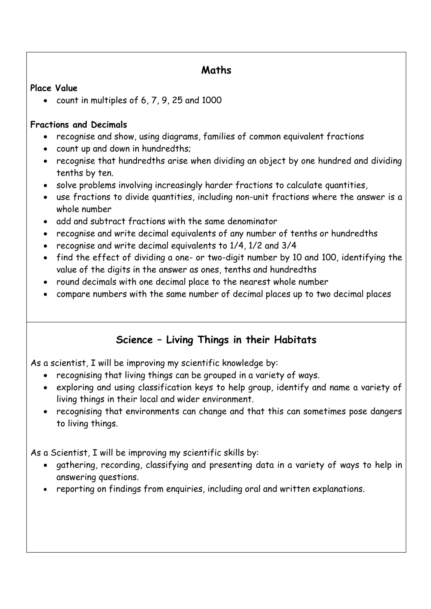## **Maths**

#### **Place Value**

count in multiples of 6, 7, 9, 25 and 1000

### **Fractions and Decimals**

- recognise and show, using diagrams, families of common equivalent fractions
- count up and down in hundredths;
- recognise that hundredths arise when dividing an object by one hundred and dividing tenths by ten.
- solve problems involving increasingly harder fractions to calculate quantities,
- use fractions to divide quantities, including non-unit fractions where the answer is a whole number
- add and subtract fractions with the same denominator
- recognise and write decimal equivalents of any number of tenths or hundredths
- recognise and write decimal equivalents to 1/4, 1/2 and 3/4
- find the effect of dividing a one- or two-digit number by 10 and 100, identifying the value of the digits in the answer as ones, tenths and hundredths
- round decimals with one decimal place to the nearest whole number
- compare numbers with the same number of decimal places up to two decimal places

# **Science – Living Things in their Habitats**

As a scientist, I will be improving my scientific knowledge by:

- recognising that living things can be grouped in a variety of ways.
- exploring and using classification keys to help group, identify and name a variety of living things in their local and wider environment.
- recognising that environments can change and that this can sometimes pose dangers to living things.

As a Scientist, I will be improving my scientific skills by:

- gathering, recording, classifying and presenting data in a variety of ways to help in answering questions.
- reporting on findings from enquiries, including oral and written explanations.